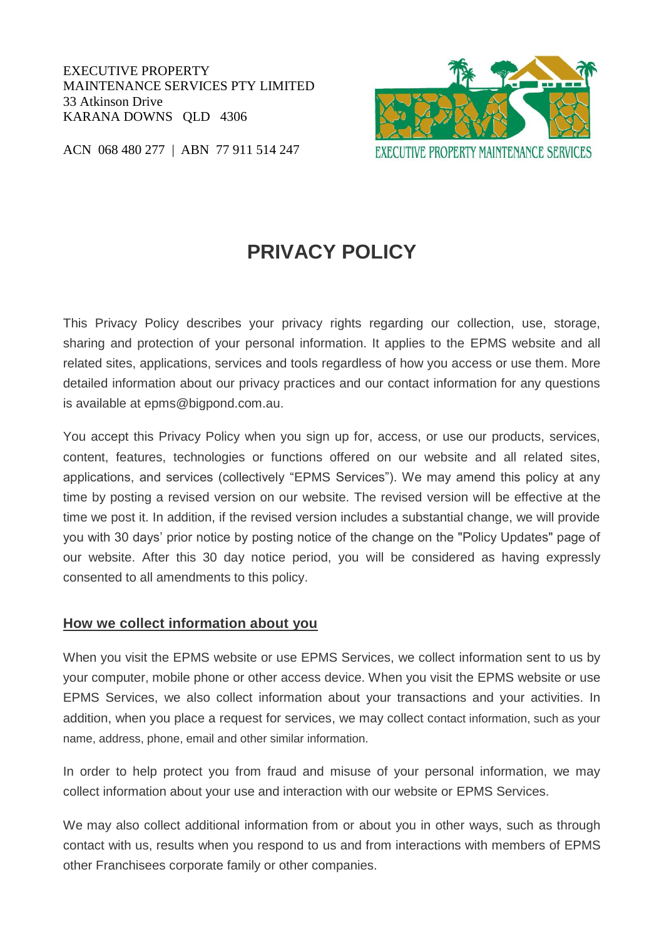EXECUTIVE PROPERTY MAINTENANCE SERVICES PTY LIMITED 33 Atkinson Drive KARANA DOWNS QLD 4306



ACN 068 480 277 | ABN 77 911 514 247

# **PRIVACY POLICY**

This Privacy Policy describes your privacy rights regarding our collection, use, storage, sharing and protection of your personal information. It applies to the EPMS website and all related sites, applications, services and tools regardless of how you access or use them. More detailed information about our privacy practices and our contact information for any questions is available at epms@bigpond.com.au.

You accept this Privacy Policy when you sign up for, access, or use our products, services, content, features, technologies or functions offered on our website and all related sites, applications, and services (collectively "EPMS Services"). We may amend this policy at any time by posting a revised version on our website. The revised version will be effective at the time we post it. In addition, if the revised version includes a substantial change, we will provide you with 30 days' prior notice by posting notice of the change on the "Policy Updates" page of our website. After this 30 day notice period, you will be considered as having expressly consented to all amendments to this policy.

#### **How we collect information about you**

When you visit the EPMS website or use EPMS Services, we collect information sent to us by your computer, mobile phone or other access device. When you visit the EPMS website or use EPMS Services, we also collect information about your transactions and your activities. In addition, when you place a request for services, we may collect contact information, such as your name, address, phone, email and other similar information.

In order to help protect you from fraud and misuse of your personal information, we may collect information about your use and interaction with our website or EPMS Services.

We may also collect additional information from or about you in other ways, such as through contact with us, results when you respond to us and from interactions with members of EPMS other Franchisees corporate family or other companies.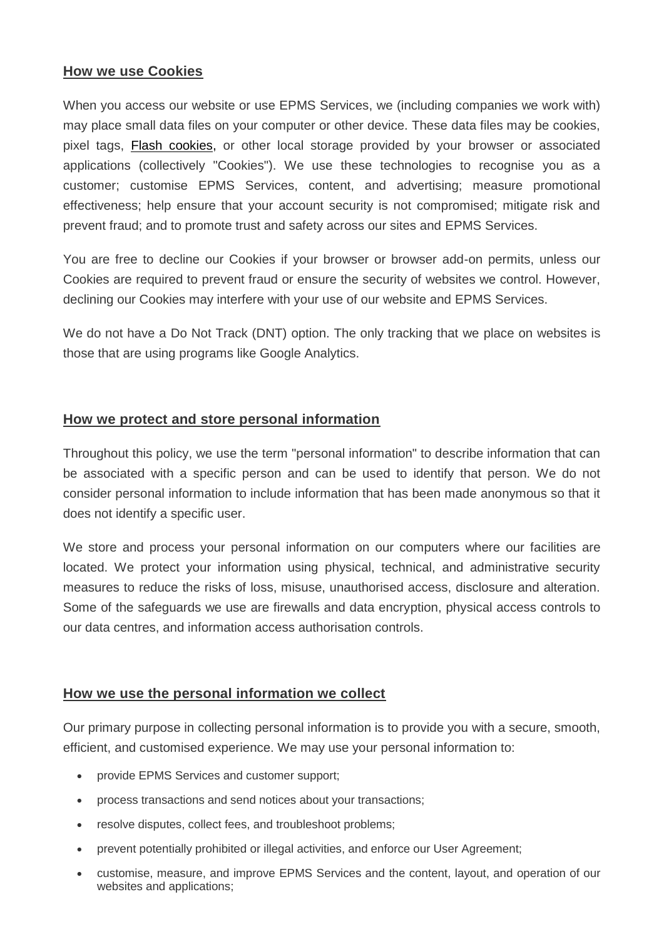## **How we use Cookies**

When you access our website or use EPMS Services, we (including companies we work with) may place small data files on your computer or other device. These data files may be cookies, pixel tags, [Flash cookies,](http://www.macromedia.com/support/documentation/en/flashplayer/help/settings_manager07.html) or other local storage provided by your browser or associated applications (collectively "Cookies"). We use these technologies to recognise you as a customer; customise EPMS Services, content, and advertising; measure promotional effectiveness; help ensure that your account security is not compromised; mitigate risk and prevent fraud; and to promote trust and safety across our sites and EPMS Services.

You are free to decline our Cookies if your browser or browser add-on permits, unless our Cookies are required to prevent fraud or ensure the security of websites we control. However, declining our Cookies may interfere with your use of our website and EPMS Services.

We do not have a Do Not Track (DNT) option. The only tracking that we place on websites is those that are using programs like Google Analytics.

## **How we protect and store personal information**

Throughout this policy, we use the term "personal information" to describe information that can be associated with a specific person and can be used to identify that person. We do not consider personal information to include information that has been made anonymous so that it does not identify a specific user.

We store and process your personal information on our computers where our facilities are located. We protect your information using physical, technical, and administrative security measures to reduce the risks of loss, misuse, unauthorised access, disclosure and alteration. Some of the safeguards we use are firewalls and data encryption, physical access controls to our data centres, and information access authorisation controls.

# **How we use the personal information we collect**

Our primary purpose in collecting personal information is to provide you with a secure, smooth, efficient, and customised experience. We may use your personal information to:

- provide EPMS Services and customer support:
- process transactions and send notices about your transactions;
- resolve disputes, collect fees, and troubleshoot problems;
- prevent potentially prohibited or illegal activities, and enforce our User Agreement;
- customise, measure, and improve EPMS Services and the content, layout, and operation of our websites and applications;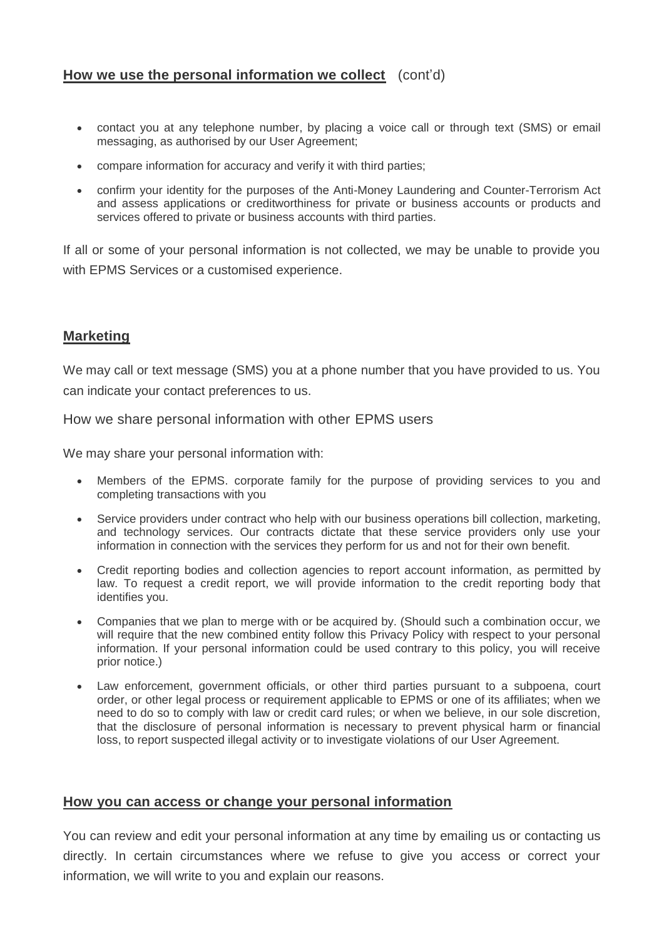## **How we use the personal information we collect** (cont'd)

- contact you at any telephone number, by placing a voice call or through text (SMS) or email messaging, as authorised by our User Agreement;
- compare information for accuracy and verify it with third parties;
- confirm your identity for the purposes of the Anti-Money Laundering and Counter-Terrorism Act and assess applications or creditworthiness for private or business accounts or products and services offered to private or business accounts with third parties.

If all or some of your personal information is not collected, we may be unable to provide you with EPMS Services or a customised experience.

#### **Marketing**

We may call or text message (SMS) you at a phone number that you have provided to us. You can indicate your contact preferences to us.

How we share personal information with other EPMS users

We may share your personal information with:

- Members of the EPMS. corporate family for the purpose of providing services to you and completing transactions with you
- Service providers under contract who help with our business operations bill collection, marketing, and technology services. Our contracts dictate that these service providers only use your information in connection with the services they perform for us and not for their own benefit.
- Credit reporting bodies and collection agencies to report account information, as permitted by law. To request a credit report, we will provide information to the credit reporting body that identifies you.
- Companies that we plan to merge with or be acquired by. (Should such a combination occur, we will require that the new combined entity follow this Privacy Policy with respect to your personal information. If your personal information could be used contrary to this policy, you will receive prior notice.)
- Law enforcement, government officials, or other third parties pursuant to a subpoena, court order, or other legal process or requirement applicable to EPMS or one of its affiliates; when we need to do so to comply with law or credit card rules; or when we believe, in our sole discretion, that the disclosure of personal information is necessary to prevent physical harm or financial loss, to report suspected illegal activity or to investigate violations of our User Agreement.

#### **How you can access or change your personal information**

You can review and edit your personal information at any time by emailing us or contacting us directly. In certain circumstances where we refuse to give you access or correct your information, we will write to you and explain our reasons.